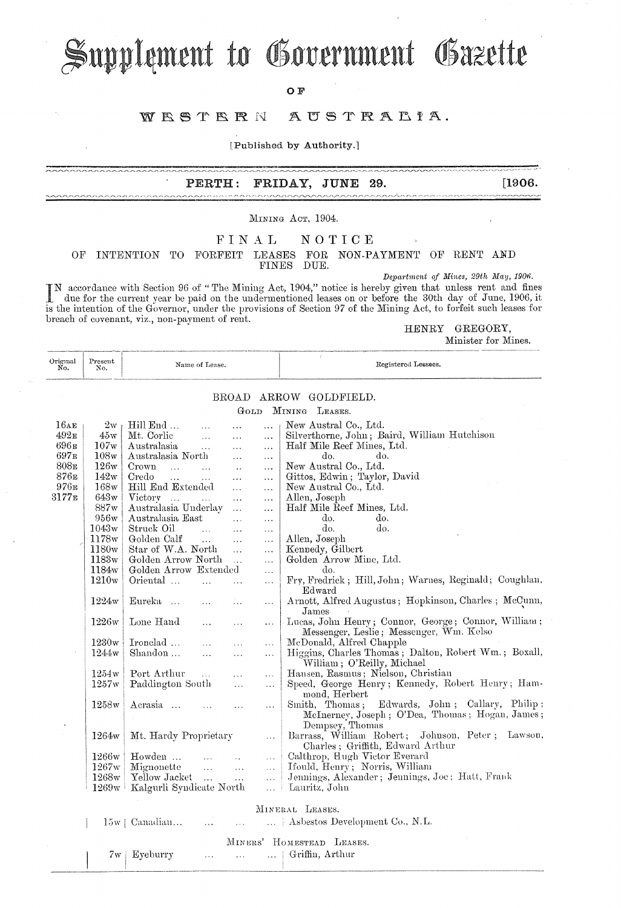# Supplement to Government Gazette

ΟŦ

#### AUSTRALIA. WESTERN

[Published by Authority.]

#### $\rm PERTH$  : **JUNE 29.**  $\tt FRIDAY,$

 $[1906.$ 

### MINING ACT. 1904.

#### **FINAL** NOTICE

#### OF INTENTION TO FORFEIT LEASES FOR NON-PAYMENT OF RENT AND **FINES** DUE.

Department of Mines, 29th May, 1906.

IN accordance with Section 96 of "The Mining Act, 1904," notice is hereby given that unless rent and fines due for the current year be paid on the undermentioned leases on or before the 30th day of June, 1906, it is the intention of the Governor, under the provisions of Section 97 of the Mining Act, to forfeit such leases for breach of covenant, viz., non-payment of rent.

HENRY GREGORY, Minister for Mines.

 $\Pr_{\text{No.}}$ Original  $\stackrel{\text{Normal}}{\text{No}}$ Name of Lease. Registered Lessees. BROAD ARROW GOLDFIELD. GOLD MINING LEASES.  $16\mathrm{AE}$  $2w$ Hill End ... New Austral Co., Ltd.  $\ddotsc$ Silverthorne, John; Baird, William Hutchison  $492<sub>E</sub>$  $45w$ Mt. Corlic  $\ldots$  $\ldots$  $\ldots$  $107w$ 696 в Half Mile Reef Mines, Ltd. Australasia  $\ddotsc$  $\ldots$ Australasia North  $697<sub>E</sub>$  $108<sub>w</sub>$ do. do.  $\ddotsc$  $\ldots$ New Austral Co., Ltd.<br>Gittos, Edwin; Taylor, David  $\begin{tabular}{lllll} \multicolumn{2}{l}{{\bf Crown}} & \ldots & \ldots \\ \multicolumn{2}{l}{\bf{Crow}} & \ldots & \ldots \end{tabular}$  $808<sub>E</sub>$ 126w  $\sim$  $\ldots$ 876в  $142w$ Credo  $\ldots$  $\ddotsc$ Hill End Extended  $976<sub>E</sub>$  $168<sub>w</sub>$ New Austral Co., Ltd.  $\ldots$  $\ldots$ Allen, Joseph  $3177E$ 643w Victory ...  $\ddotsc$  $\ddotsc$ 887w Australasia Underlay Half Mile Reef Mines, Ltd.  $\bar{\Delta}$  .  $\ldots$  $956\rm{w}$ Australasia East do. do.  $\bar{z}$  ,  $\bar{z}$  $\ddotsc$ 1043w Struck Oil do. do.  $\ddotsc$ 1178w Golden Calf Allen, Joseph  $\ldots$  $\ldots$ Kennedy, Gilbert Star of W.A. North 1180w  $\ldots$  $\ldots$  $1183w$ Golden Arrow North Golden Arrow Mine, Ltd.  $\ldots$ 1184w Golden Arrow Extended do.  $\ddotsc$ Fry, Fredrick; Hill, John; Warnes, Reginald; Coughlan, 1210w Oriental ...  $\ldots$ Edward 1224w Arnott, Alfred Augustus; Hopkinson, Charles; McCunn, Eureka ...  $\ldots$ James 1226w Lone Hand Lucas, John Henry; Connor, George; Connor, William;  $\ddotsc$  $\ddotsc$ Messenger, Leslie; Messenger, Wm. Kelso McDonald, Alfred Chapple 1230w Ironclad ...  $\cdots$  $\ddotsc$  $\ldots$ Higgins, Charles Thomas; Dalton, Robert Wm.; Boxall, 1244w Shandon...  $\ddotsc$  $\ldots$ William; O'Reilly, Michael Hausen, Rasmus; Nielson, Christian Port Arthur 1254w 1257w Paddington South Speed, George Henry; Kennedy, Robert Henry; Ham- $\sim$  $\ddotsc$ mond, Herbert Smith, Thomas; Edwards, John; Callary, Philip; 1258w Acrasia ...  $\ldots$ McInerney, Joseph; O'Dea, Thomas; Hogan, James; 1264w Mt. Hardy Proprietary Barrass, William Robert; Johnson, Peter; Lawson,  $\ddotsc$ Charles; Griffith, Edward Arthur 1266w Howden ... Calthrop, Hugh Victor Everard  $\ldots$  $\ddotsc$  $\bar{\lambda}$  is a Ifould, Henry; Norris, William 1267w Mignonette  $\ddotsc$  $\ldots$  $\bar{\tau}$  . Jennings, Alexander; Jennings, Joe; Hatt, Frank 1268w Yellow Jacket Kalgurli Syndicate North Lauritz, John  $1269w$  $\ddotsc$ MINERAL LEASES. ... | Asbestos Development Co., N.L.  $15w \mid$  Canadian... MINERS' HOMESTEAD LEASES.  $7w$ Eyeburry Griffin, Arthur  $\sim 100$  $\sim 10$  $\sim$   $\sim$